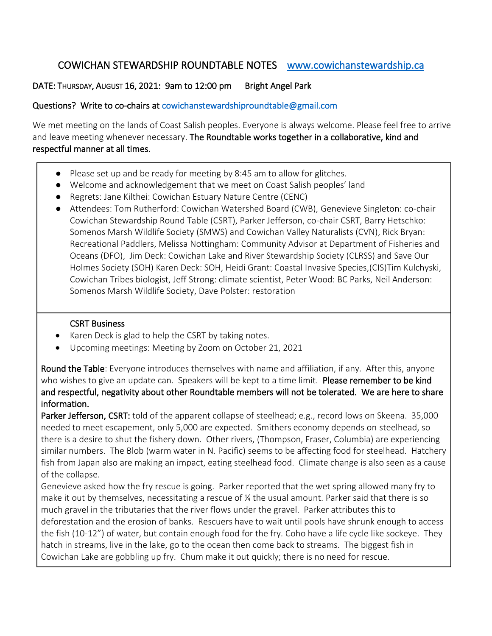## COWICHAN STEWARDSHIP ROUNDTABLE NOTES [www.cowichanstewardship.ca](http://www.cowichanstewardship.ca/)

## DATE: THURSDAY, AUGUST 16, 2021: 9am to 12:00 pm Bright Angel Park

## Questions? Write to co-chairs at [cowichanstewardshiproundtable@gmail.com](mailto:cowichanstewardshiproundtable@gmail.com)

We met meeting on the lands of Coast Salish peoples. Everyone is always welcome. Please feel free to arrive and leave meeting whenever necessary. The Roundtable works together in a collaborative, kind and respectful manner at all times.

- Please set up and be ready for meeting by 8:45 am to allow for glitches.
- Welcome and acknowledgement that we meet on Coast Salish peoples' land
- Regrets: Jane Kilthei: Cowichan Estuary Nature Centre (CENC)
- Attendees: Tom Rutherford: Cowichan Watershed Board (CWB), Genevieve Singleton: co-chair Cowichan Stewardship Round Table (CSRT), Parker Jefferson, co-chair CSRT, Barry Hetschko: Somenos Marsh Wildlife Society (SMWS) and Cowichan Valley Naturalists (CVN), Rick Bryan: Recreational Paddlers, Melissa Nottingham: Community Advisor at Department of Fisheries and Oceans (DFO), Jim Deck: Cowichan Lake and River Stewardship Society (CLRSS) and Save Our Holmes Society (SOH) Karen Deck: SOH, Heidi Grant: Coastal Invasive Species,(CIS)Tim Kulchyski, Cowichan Tribes biologist, Jeff Strong: climate scientist, Peter Wood: BC Parks, Neil Anderson: Somenos Marsh Wildlife Society, Dave Polster: restoration

## CSRT Business

- Karen Deck is glad to help the CSRT by taking notes.
- Upcoming meetings: Meeting by Zoom on October 21, 2021

Round the Table: Everyone introduces themselves with name and affiliation, if any. After this, anyone who wishes to give an update can. Speakers will be kept to a time limit. Please remember to be kind and respectful, negativity about other Roundtable members will not be tolerated. We are here to share information.

Parker Jefferson, CSRT: told of the apparent collapse of steelhead; e.g., record lows on Skeena. 35,000 needed to meet escapement, only 5,000 are expected. Smithers economy depends on steelhead, so there is a desire to shut the fishery down. Other rivers, (Thompson, Fraser, Columbia) are experiencing similar numbers. The Blob (warm water in N. Pacific) seems to be affecting food for steelhead. Hatchery fish from Japan also are making an impact, eating steelhead food. Climate change is also seen as a cause of the collapse.

Genevieve asked how the fry rescue is going. Parker reported that the wet spring allowed many fry to make it out by themselves, necessitating a rescue of  $\chi$  the usual amount. Parker said that there is so much gravel in the tributaries that the river flows under the gravel. Parker attributes this to deforestation and the erosion of banks. Rescuers have to wait until pools have shrunk enough to access the fish (10-12") of water, but contain enough food for the fry. Coho have a life cycle like sockeye. They hatch in streams, live in the lake, go to the ocean then come back to streams. The biggest fish in Cowichan Lake are gobbling up fry. Chum make it out quickly; there is no need for rescue.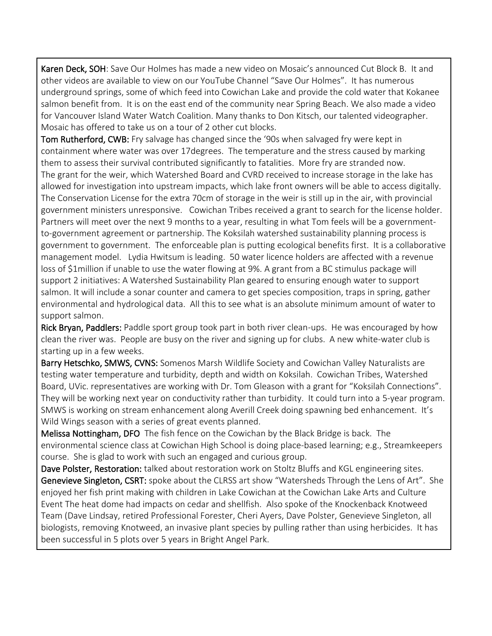Karen Deck, SOH: Save Our Holmes has made a new video on Mosaic's announced Cut Block B. It and other videos are available to view on our YouTube Channel "Save Our Holmes". It has numerous underground springs, some of which feed into Cowichan Lake and provide the cold water that Kokanee salmon benefit from. It is on the east end of the community near Spring Beach. We also made a video for Vancouver Island Water Watch Coalition. Many thanks to Don Kitsch, our talented videographer. Mosaic has offered to take us on a tour of 2 other cut blocks.

Tom Rutherford, CWB: Fry salvage has changed since the '90s when salvaged fry were kept in containment where water was over 17degrees. The temperature and the stress caused by marking them to assess their survival contributed significantly to fatalities. More fry are stranded now. The grant for the weir, which Watershed Board and CVRD received to increase storage in the lake has allowed for investigation into upstream impacts, which lake front owners will be able to access digitally. The Conservation License for the extra 70cm of storage in the weir is still up in the air, with provincial government ministers unresponsive. Cowichan Tribes received a grant to search for the license holder. Partners will meet over the next 9 months to a year, resulting in what Tom feels will be a governmentto-government agreement or partnership. The Koksilah watershed sustainability planning process is government to government. The enforceable plan is putting ecological benefits first. It is a collaborative management model. Lydia Hwitsum is leading. 50 water licence holders are affected with a revenue loss of \$1million if unable to use the water flowing at 9%. A grant from a BC stimulus package will support 2 initiatives: A Watershed Sustainability Plan geared to ensuring enough water to support salmon. It will include a sonar counter and camera to get species composition, traps in spring, gather environmental and hydrological data. All this to see what is an absolute minimum amount of water to support salmon.

Rick Bryan, Paddlers: Paddle sport group took part in both river clean-ups. He was encouraged by how clean the river was. People are busy on the river and signing up for clubs. A new white-water club is starting up in a few weeks.

Barry Hetschko, SMWS, CVNS: Somenos Marsh Wildlife Society and Cowichan Valley Naturalists are testing water temperature and turbidity, depth and width on Koksilah. Cowichan Tribes, Watershed Board, UVic. representatives are working with Dr. Tom Gleason with a grant for "Koksilah Connections". They will be working next year on conductivity rather than turbidity. It could turn into a 5-year program. SMWS is working on stream enhancement along Averill Creek doing spawning bed enhancement. It's Wild Wings season with a series of great events planned.

Melissa Nottingham, DFO The fish fence on the Cowichan by the Black Bridge is back. The environmental science class at Cowichan High School is doing place-based learning; e.g., Streamkeepers course. She is glad to work with such an engaged and curious group.

Dave Polster, Restoration: talked about restoration work on Stoltz Bluffs and KGL engineering sites. Genevieve Singleton, CSRT: spoke about the CLRSS art show "Watersheds Through the Lens of Art". She enjoyed her fish print making with children in Lake Cowichan at the Cowichan Lake Arts and Culture Event The heat dome had impacts on cedar and shellfish. Also spoke of the Knockenback Knotweed Team (Dave Lindsay, retired Professional Forester, Cheri Ayers, Dave Polster, Genevieve Singleton, all biologists, removing Knotweed, an invasive plant species by pulling rather than using herbicides. It has been successful in 5 plots over 5 years in Bright Angel Park.